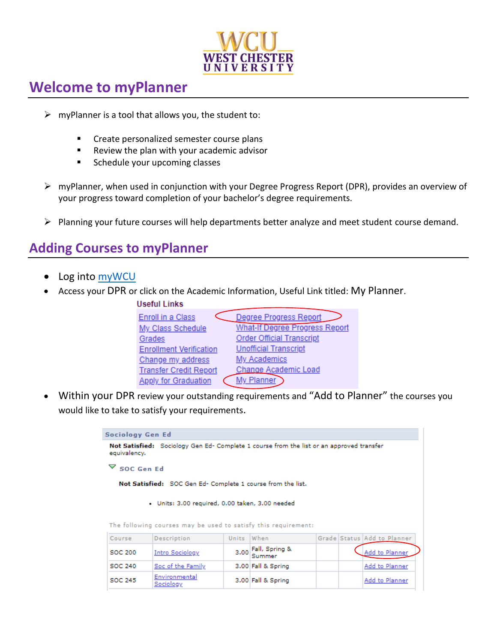

# **Welcome to myPlanner**

- $\triangleright$  myPlanner is a tool that allows you, the student to:
	- Create personalized semester course plans
	- Review the plan with your academic advisor
	- Schedule your upcoming classes
- ➢ myPlanner, when used in conjunction with your Degree Progress Report (DPR), provides an overview of your progress toward completion of your bachelor's degree requirements.
- ➢ Planning your future courses will help departments better analyze and meet student course demand.

# **Adding Courses to myPlanner**

- Log into [myWCU](my.wcupa.edu)
- Access your DPR or click on the Academic Information, Useful Link titled: My Planner.

| Useful Links                   |                                       |
|--------------------------------|---------------------------------------|
| <b>Enroll in a Class</b>       | Degree Progress Report                |
| My Class Schedule              | <b>What-If Degree Progress Report</b> |
| Grades                         | <b>Order Official Transcript</b>      |
| <b>Enrollment Verification</b> | <b>Unofficial Transcript</b>          |
| Change my address              | My Academics                          |
| <b>Transfer Credit Report</b>  | Change Academic Load                  |
| <b>Apply for Graduation</b>    | My Planner                            |
|                                |                                       |

• Within your DPR review your outstanding requirements and "Add to Planner" the courses you would like to take to satisfy your requirements.

> Sociology Gen Ed Not Satisfied: Sociology Gen Ed- Complete 1 course from the list or an approved transfer equivalency.  $\triangledown$  SOC Gen Ed Not Satisfied: SOC Gen Ed- Complete 1 course from the list. · Units: 3.00 required, 0.00 taken, 3.00 needed

|  |  |  |  | The following courses may be used to satisfy this requirement: |
|--|--|--|--|----------------------------------------------------------------|
|  |  |  |  |                                                                |

| Course         | Description                | Units When |                     |  | Grade Status Add to Planner |
|----------------|----------------------------|------------|---------------------|--|-----------------------------|
| SOC 200        | <b>Intro Sociology</b>     |            | 3.00 Fall, Spring & |  | Add to Planner              |
| <b>SOC 240</b> | Soc of the Family          |            | 3.00 Fall & Spring  |  | Add to Planner              |
| <b>SOC 245</b> | Environmental<br>Sociology |            | 3.00 Fall & Spring  |  | Add to Planner              |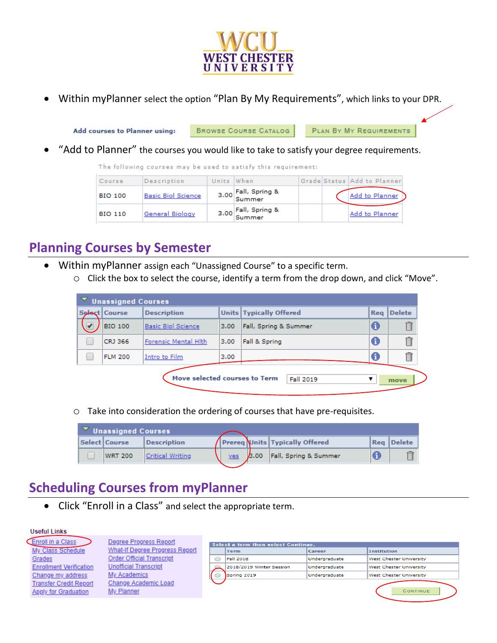

• Within myPlanner select the option "Plan By My Requirements", which links to your DPR.

Add courses to Planner using: **BROWSE COURSE CATALOG** PLAN BY MY REQUIREMENTS

• "Add to Planner" the courses you would like to take to satisfy your degree requirements.

|                |                           |            | The following courses may be used to satisfy this requirement: |  |                             |
|----------------|---------------------------|------------|----------------------------------------------------------------|--|-----------------------------|
| Course         | Description               | Units When |                                                                |  | Grade Status Add to Planner |
| <b>BIO 100</b> | <b>Basic Biol Science</b> |            | 3.00 Fall, Spring &                                            |  | Add to Planner              |
| <b>BIO 110</b> | General Biology           |            | 3.00 Fall, Spring &                                            |  | Add to Planner              |

## **Planning Courses by Semester**

 $\overline{a}$  $\sim$   $\sim$ 

- Within myPlanner assign each "Unassigned Course" to a specific term.
	- o Click the box to select the course, identify a term from the drop down, and click "Move".

| V Unassigned Courses |                               |      |                                |            |        |
|----------------------|-------------------------------|------|--------------------------------|------------|--------|
| Select Course        | <b>Description</b>            |      | <b>Units Typically Offered</b> | <b>Reg</b> | Delete |
| <b>BIO 100</b>       | <b>Basic Biol Science</b>     | 3.00 | Fall, Spring & Summer          | 0          |        |
| CRJ 366              | Forensic Mental Hith          | 3.00 | Fall & Spring                  | A          | fi     |
| <b>FLM 200</b>       | Intro to Film                 | 3.00 |                                | A          |        |
|                      |                               |      |                                |            |        |
|                      | Move selected courses to Term |      | Fall 2019                      |            | move   |

o Take into consideration the ordering of courses that have pre-requisites.

|  | Unassigned Courses |                    |     |      |                                  |                   |
|--|--------------------|--------------------|-----|------|----------------------------------|-------------------|
|  | Select   Course    | <b>Description</b> |     |      | / Prereq Units Typically Offered | <b>Rea</b> Delete |
|  | <b>WRT 200</b>     | Critical Writing   | yes | 3.00 | Fall, Spring & Summer            |                   |

# **Scheduling Courses from myPlanner**

• Click "Enroll in a Class" and select the appropriate term.

#### **Useful Links**

Enroll in a Class My Class Schedule Grades **Enrollment Verification** Change my address **Transfer Credit Report** Apply for Graduation

Degree Progress Report What-If Degree Progress Report Order Official Transcript **Unofficial Transcript** My Academics Change Academic Load My Planner

| Select a term then select Continue. |               |                                |
|-------------------------------------|---------------|--------------------------------|
| <b>Term</b>                         | Career        | <b>Institution</b>             |
| <b>Fall 2018</b>                    | Undergraduate | <b>West Chester University</b> |
| 2018/2019 Winter Session            | Undergraduate | West Chester University        |
| Spring 2019                         | Undergraduate | West Chester University        |
|                                     |               |                                |
|                                     |               | CONTINUE                       |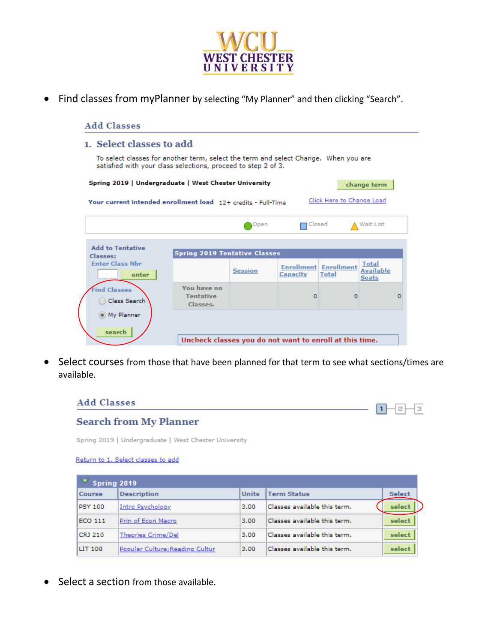

• Find classes from myPlanner by selecting "My Planner" and then clicking "Search".

| 1. Select classes to add                                                                                                                             |                                             |                |                       |                                       |                                                  |   |
|------------------------------------------------------------------------------------------------------------------------------------------------------|---------------------------------------------|----------------|-----------------------|---------------------------------------|--------------------------------------------------|---|
| To select classes for another term, select the term and select Change. When you are<br>satisfied with your class selections, proceed to step 2 of 3. |                                             |                |                       |                                       |                                                  |   |
| Spring 2019   Undergraduate   West Chester University                                                                                                |                                             |                |                       |                                       | change term                                      |   |
| Your current intended enrollment load 12+ credits - Full-Time                                                                                        |                                             |                |                       | Click Here to Change Load             |                                                  |   |
|                                                                                                                                                      |                                             | Open           | $\blacksquare$ Closed |                                       | A Wait List                                      |   |
| <b>Add to Tentative</b>                                                                                                                              |                                             |                |                       |                                       |                                                  |   |
| Classes:                                                                                                                                             | <b>Spring 2019 Tentative Classes</b>        |                |                       |                                       |                                                  |   |
| <b>Enter Class Nbr</b><br>enter                                                                                                                      |                                             | <b>Session</b> | Capacity              | <b>Enrollment</b> Enrollment<br>Total | <b>Total</b><br><b>Available</b><br><b>Seats</b> |   |
| <b>Find Classes</b><br>Class Search                                                                                                                  | You have no<br><b>Tentative</b><br>Classes. |                | o                     | n                                     |                                                  | o |
| (e) My Planner<br>search                                                                                                                             |                                             |                |                       |                                       |                                                  |   |
|                                                                                                                                                      |                                             |                |                       |                                       |                                                  |   |

• Select courses from those that have been planned for that term to see what sections/times are available.

### **Add Classes**



## **Search from My Planner**

Spring 2019 | Undergraduate | West Chester University

#### Return to 1. Select classes to add

| Spring 2019    |                                 |              |                              |               |  |
|----------------|---------------------------------|--------------|------------------------------|---------------|--|
| <b>Course</b>  | <b>Description</b>              | <b>Units</b> | <b>Term Status</b>           | <b>Select</b> |  |
| <b>PSY 100</b> | <b>Intro Psychology</b>         | 3.00         | Classes available this term. | select        |  |
| <b>ECO 111</b> | Prin of Econ Macro              | 3.00         | Classes available this term. | select        |  |
| CRJ 210        | <b>Theories Crime/Del</b>       | 3.00         | Classes available this term. | select        |  |
| <b>LIT 100</b> | Popular Culture: Reading Cultur | 3.00         | Classes available this term. | select        |  |

• Select a section from those available.